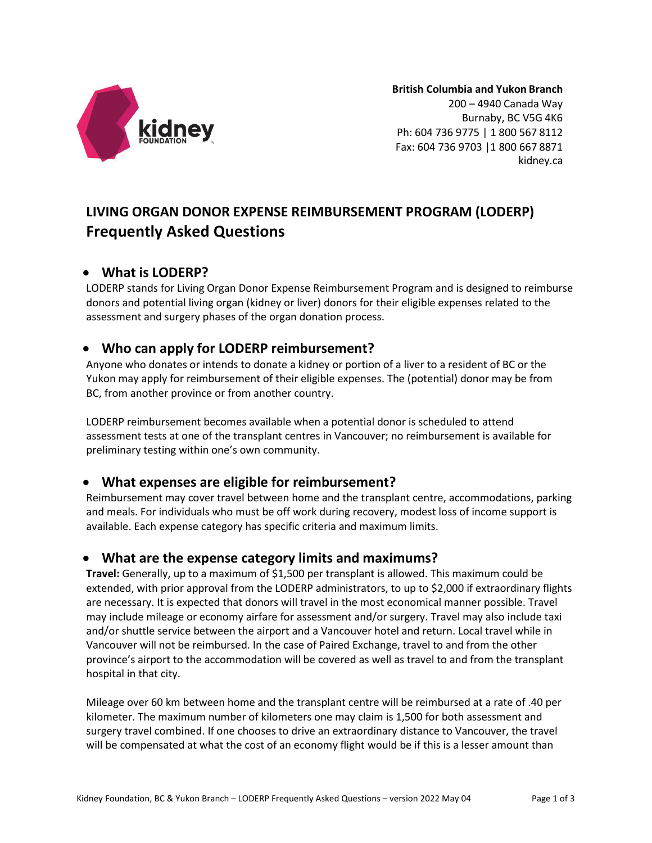

**British Columbia and Yukon Branch** 200 – 4940 Canada Way Burnaby, BC V5G 4K6 Ph: 604 736 9775 | 1 800 567 8112 Fax: 604 736 9703 |1 800 667 8871 kidney.ca

# **LIVING ORGAN DONOR EXPENSE REIMBURSEMENT PROGRAM (LODERP) Frequently Asked Questions**

## • **What is LODERP?**

LODERP stands for Living Organ Donor Expense Reimbursement Program and is designed to reimburse donors and potential living organ (kidney or liver) donors for their eligible expenses related to the assessment and surgery phases of the organ donation process.

## • **Who can apply for LODERP reimbursement?**

Anyone who donates or intends to donate a kidney or portion of a liver to a resident of BC or the Yukon may apply for reimbursement of their eligible expenses. The (potential) donor may be from BC, from another province or from another country.

LODERP reimbursement becomes available when a potential donor is scheduled to attend assessment tests at one of the transplant centres in Vancouver; no reimbursement is available for preliminary testing within one's own community.

# • **What expenses are eligible for reimbursement?**

Reimbursement may cover travel between home and the transplant centre, accommodations, parking and meals. For individuals who must be off work during recovery, modest loss of income support is available. Each expense category has specific criteria and maximum limits.

# • **What are the expense category limits and maximums?**

**Travel:** Generally, up to a maximum of \$1,500 per transplant is allowed. This maximum could be extended, with prior approval from the LODERP administrators, to up to \$2,000 if extraordinary flights are necessary. It is expected that donors will travel in the most economical manner possible. Travel may include mileage or economy airfare for assessment and/or surgery. Travel may also include taxi and/or shuttle service between the airport and a Vancouver hotel and return. Local travel while in Vancouver will not be reimbursed. In the case of Paired Exchange, travel to and from the other province's airport to the accommodation will be covered as well as travel to and from the transplant hospital in that city.

Mileage over 60 km between home and the transplant centre will be reimbursed at a rate of .40 per kilometer. The maximum number of kilometers one may claim is 1,500 for both assessment and surgery travel combined. If one chooses to drive an extraordinary distance to Vancouver, the travel will be compensated at what the cost of an economy flight would be if this is a lesser amount than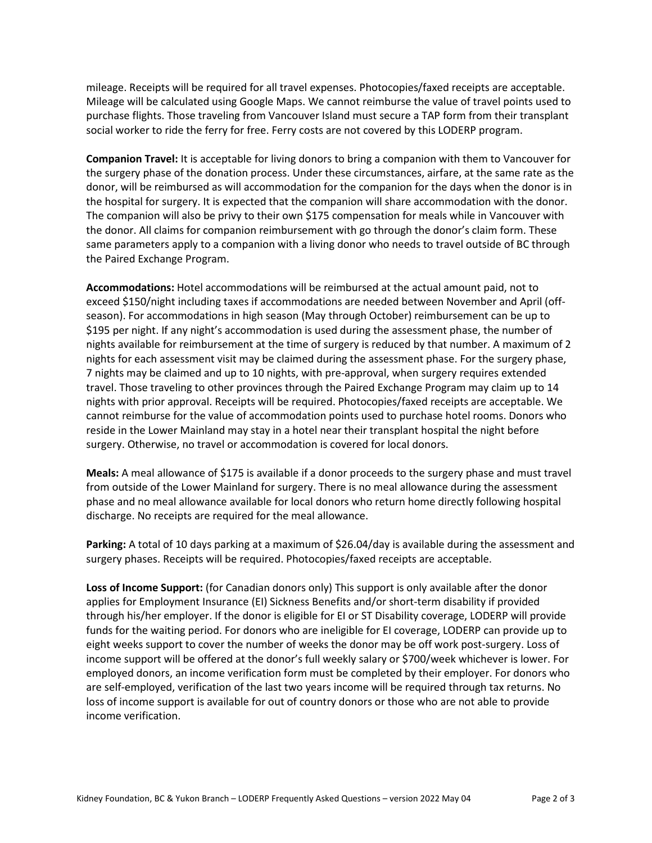mileage. Receipts will be required for all travel expenses. Photocopies/faxed receipts are acceptable. Mileage will be calculated using Google Maps. We cannot reimburse the value of travel points used to purchase flights. Those traveling from Vancouver Island must secure a TAP form from their transplant social worker to ride the ferry for free. Ferry costs are not covered by this LODERP program.

**Companion Travel:** It is acceptable for living donors to bring a companion with them to Vancouver for the surgery phase of the donation process. Under these circumstances, airfare, at the same rate as the donor, will be reimbursed as will accommodation for the companion for the days when the donor is in the hospital for surgery. It is expected that the companion will share accommodation with the donor. The companion will also be privy to their own \$175 compensation for meals while in Vancouver with the donor. All claims for companion reimbursement with go through the donor's claim form. These same parameters apply to a companion with a living donor who needs to travel outside of BC through the Paired Exchange Program.

**Accommodations:** Hotel accommodations will be reimbursed at the actual amount paid, not to exceed \$150/night including taxes if accommodations are needed between November and April (offseason). For accommodations in high season (May through October) reimbursement can be up to \$195 per night. If any night's accommodation is used during the assessment phase, the number of nights available for reimbursement at the time of surgery is reduced by that number. A maximum of 2 nights for each assessment visit may be claimed during the assessment phase. For the surgery phase, 7 nights may be claimed and up to 10 nights, with pre-approval, when surgery requires extended travel. Those traveling to other provinces through the Paired Exchange Program may claim up to 14 nights with prior approval. Receipts will be required. Photocopies/faxed receipts are acceptable. We cannot reimburse for the value of accommodation points used to purchase hotel rooms. Donors who reside in the Lower Mainland may stay in a hotel near their transplant hospital the night before surgery. Otherwise, no travel or accommodation is covered for local donors.

**Meals:** A meal allowance of \$175 is available if a donor proceeds to the surgery phase and must travel from outside of the Lower Mainland for surgery. There is no meal allowance during the assessment phase and no meal allowance available for local donors who return home directly following hospital discharge. No receipts are required for the meal allowance.

Parking: A total of 10 days parking at a maximum of \$26.04/day is available during the assessment and surgery phases. Receipts will be required. Photocopies/faxed receipts are acceptable.

**Loss of Income Support:** (for Canadian donors only) This support is only available after the donor applies for Employment Insurance (EI) Sickness Benefits and/or short-term disability if provided through his/her employer. If the donor is eligible for EI or ST Disability coverage, LODERP will provide funds for the waiting period. For donors who are ineligible for EI coverage, LODERP can provide up to eight weeks support to cover the number of weeks the donor may be off work post-surgery. Loss of income support will be offered at the donor's full weekly salary or \$700/week whichever is lower. For employed donors, an income verification form must be completed by their employer. For donors who are self-employed, verification of the last two years income will be required through tax returns. No loss of income support is available for out of country donors or those who are not able to provide income verification.